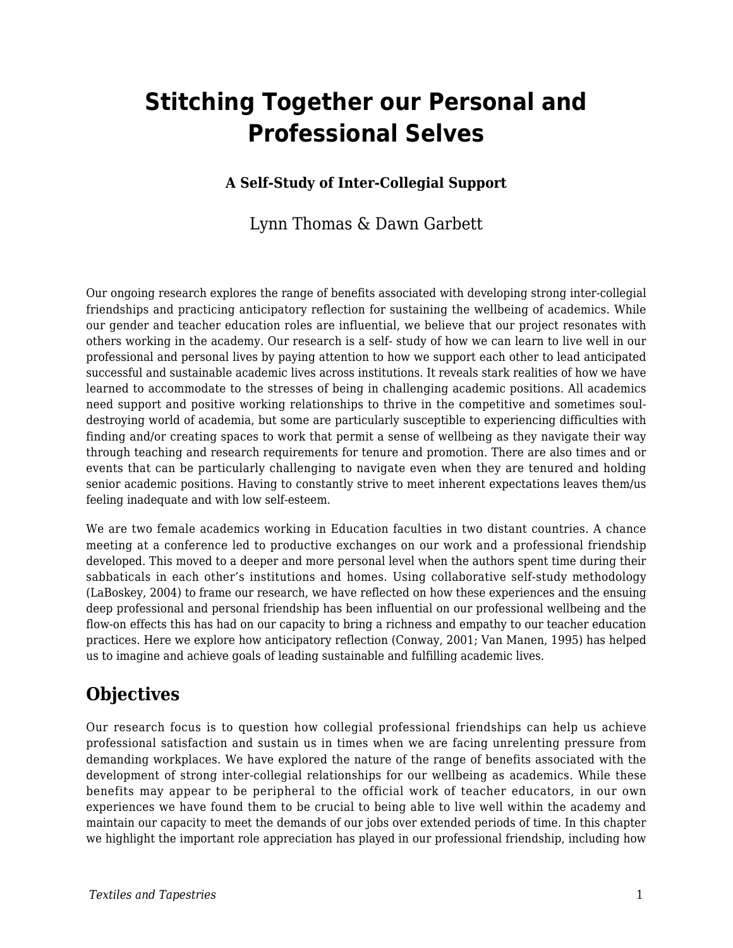# **Stitching Together our Personal and Professional Selves**

### **A Self-Study of Inter-Collegial Support**

### Lynn Thomas & Dawn Garbett

Our ongoing research explores the range of benefits associated with developing strong inter-collegial friendships and practicing anticipatory reflection for sustaining the wellbeing of academics. While our gender and teacher education roles are influential, we believe that our project resonates with others working in the academy. Our research is a self- study of how we can learn to live well in our professional and personal lives by paying attention to how we support each other to lead anticipated successful and sustainable academic lives across institutions. It reveals stark realities of how we have learned to accommodate to the stresses of being in challenging academic positions. All academics need support and positive working relationships to thrive in the competitive and sometimes souldestroying world of academia, but some are particularly susceptible to experiencing difficulties with finding and/or creating spaces to work that permit a sense of wellbeing as they navigate their way through teaching and research requirements for tenure and promotion. There are also times and or events that can be particularly challenging to navigate even when they are tenured and holding senior academic positions. Having to constantly strive to meet inherent expectations leaves them/us feeling inadequate and with low self-esteem.

We are two female academics working in Education faculties in two distant countries. A chance meeting at a conference led to productive exchanges on our work and a professional friendship developed. This moved to a deeper and more personal level when the authors spent time during their sabbaticals in each other's institutions and homes. Using collaborative self-study methodology (LaBoskey, 2004) to frame our research, we have reflected on how these experiences and the ensuing deep professional and personal friendship has been influential on our professional wellbeing and the flow-on effects this has had on our capacity to bring a richness and empathy to our teacher education practices. Here we explore how anticipatory reflection (Conway, 2001; Van Manen, 1995) has helped us to imagine and achieve goals of leading sustainable and fulfilling academic lives.

## **Objectives**

Our research focus is to question how collegial professional friendships can help us achieve professional satisfaction and sustain us in times when we are facing unrelenting pressure from demanding workplaces. We have explored the nature of the range of benefits associated with the development of strong inter-collegial relationships for our wellbeing as academics. While these benefits may appear to be peripheral to the official work of teacher educators, in our own experiences we have found them to be crucial to being able to live well within the academy and maintain our capacity to meet the demands of our jobs over extended periods of time. In this chapter we highlight the important role appreciation has played in our professional friendship, including how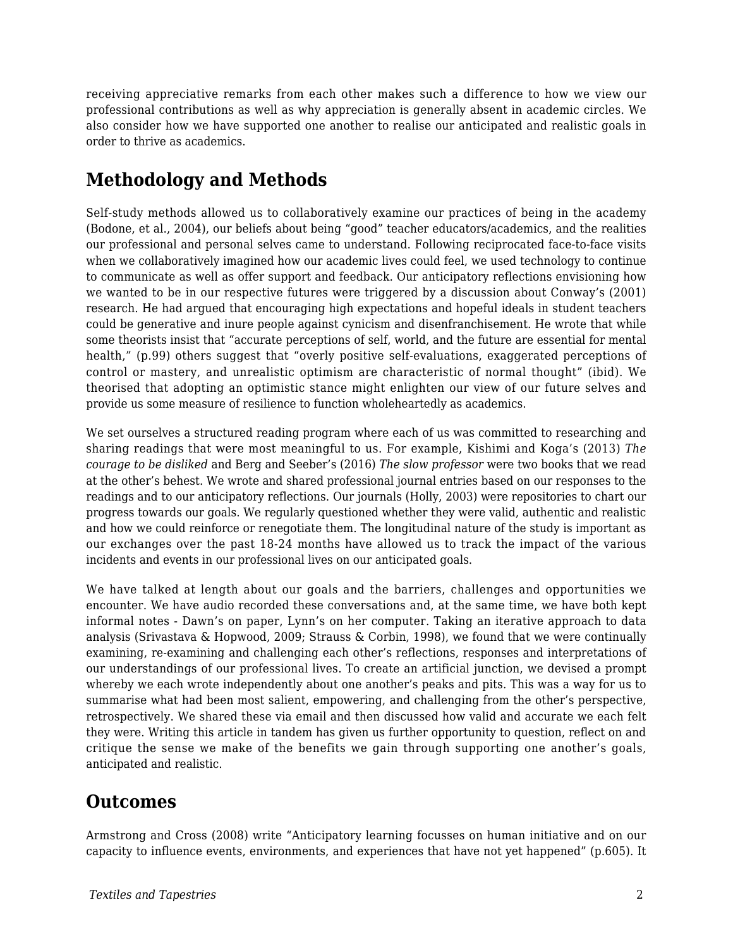receiving appreciative remarks from each other makes such a difference to how we view our professional contributions as well as why appreciation is generally absent in academic circles. We also consider how we have supported one another to realise our anticipated and realistic goals in order to thrive as academics.

## **Methodology and Methods**

Self-study methods allowed us to collaboratively examine our practices of being in the academy (Bodone, et al., 2004), our beliefs about being "good" teacher educators/academics, and the realities our professional and personal selves came to understand. Following reciprocated face-to-face visits when we collaboratively imagined how our academic lives could feel, we used technology to continue to communicate as well as offer support and feedback. Our anticipatory reflections envisioning how we wanted to be in our respective futures were triggered by a discussion about Conway's (2001) research. He had argued that encouraging high expectations and hopeful ideals in student teachers could be generative and inure people against cynicism and disenfranchisement. He wrote that while some theorists insist that "accurate perceptions of self, world, and the future are essential for mental health," (p.99) others suggest that "overly positive self-evaluations, exaggerated perceptions of control or mastery, and unrealistic optimism are characteristic of normal thought" (ibid). We theorised that adopting an optimistic stance might enlighten our view of our future selves and provide us some measure of resilience to function wholeheartedly as academics.

We set ourselves a structured reading program where each of us was committed to researching and sharing readings that were most meaningful to us. For example, Kishimi and Koga's (2013) *The courage to be disliked* and Berg and Seeber's (2016) *The slow professor* were two books that we read at the other's behest. We wrote and shared professional journal entries based on our responses to the readings and to our anticipatory reflections. Our journals (Holly, 2003) were repositories to chart our progress towards our goals. We regularly questioned whether they were valid, authentic and realistic and how we could reinforce or renegotiate them. The longitudinal nature of the study is important as our exchanges over the past 18-24 months have allowed us to track the impact of the various incidents and events in our professional lives on our anticipated goals.

We have talked at length about our goals and the barriers, challenges and opportunities we encounter. We have audio recorded these conversations and, at the same time, we have both kept informal notes - Dawn's on paper, Lynn's on her computer. Taking an iterative approach to data analysis (Srivastava & Hopwood, 2009; Strauss & Corbin, 1998), we found that we were continually examining, re-examining and challenging each other's reflections, responses and interpretations of our understandings of our professional lives. To create an artificial junction, we devised a prompt whereby we each wrote independently about one another's peaks and pits. This was a way for us to summarise what had been most salient, empowering, and challenging from the other's perspective, retrospectively. We shared these via email and then discussed how valid and accurate we each felt they were. Writing this article in tandem has given us further opportunity to question, reflect on and critique the sense we make of the benefits we gain through supporting one another's goals, anticipated and realistic.

## **Outcomes**

Armstrong and Cross (2008) write "Anticipatory learning focusses on human initiative and on our capacity to influence events, environments, and experiences that have not yet happened" (p.605). It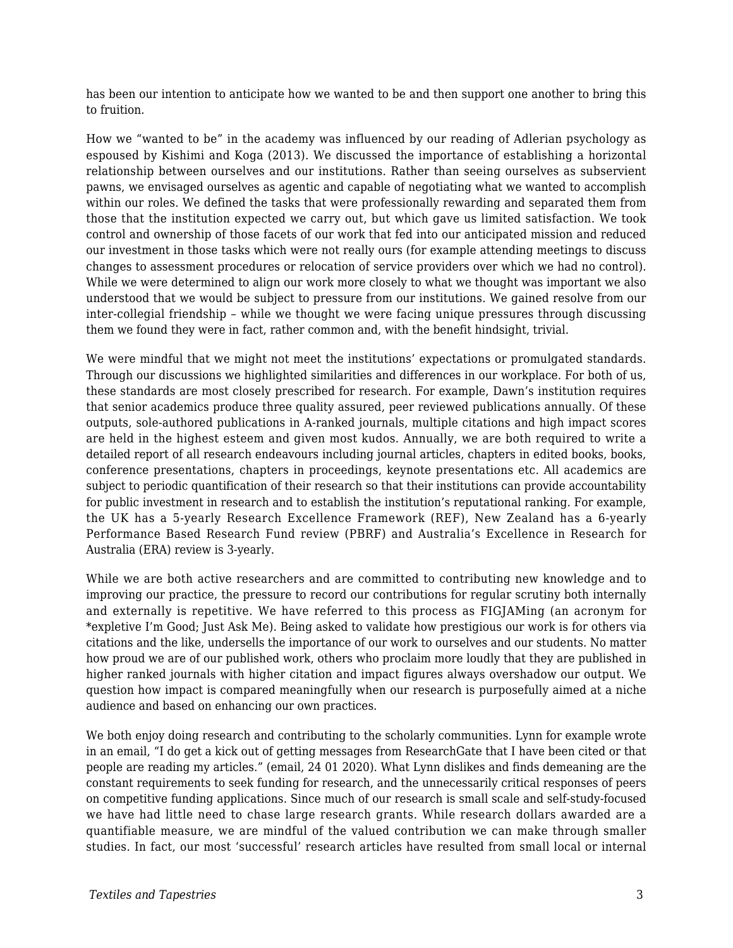has been our intention to anticipate how we wanted to be and then support one another to bring this to fruition.

How we "wanted to be" in the academy was influenced by our reading of Adlerian psychology as espoused by Kishimi and Koga (2013). We discussed the importance of establishing a horizontal relationship between ourselves and our institutions. Rather than seeing ourselves as subservient pawns, we envisaged ourselves as agentic and capable of negotiating what we wanted to accomplish within our roles. We defined the tasks that were professionally rewarding and separated them from those that the institution expected we carry out, but which gave us limited satisfaction. We took control and ownership of those facets of our work that fed into our anticipated mission and reduced our investment in those tasks which were not really ours (for example attending meetings to discuss changes to assessment procedures or relocation of service providers over which we had no control). While we were determined to align our work more closely to what we thought was important we also understood that we would be subject to pressure from our institutions. We gained resolve from our inter-collegial friendship – while we thought we were facing unique pressures through discussing them we found they were in fact, rather common and, with the benefit hindsight, trivial.

We were mindful that we might not meet the institutions' expectations or promulgated standards. Through our discussions we highlighted similarities and differences in our workplace. For both of us, these standards are most closely prescribed for research. For example, Dawn's institution requires that senior academics produce three quality assured, peer reviewed publications annually. Of these outputs, sole-authored publications in A-ranked journals, multiple citations and high impact scores are held in the highest esteem and given most kudos. Annually, we are both required to write a detailed report of all research endeavours including journal articles, chapters in edited books, books, conference presentations, chapters in proceedings, keynote presentations etc. All academics are subject to periodic quantification of their research so that their institutions can provide accountability for public investment in research and to establish the institution's reputational ranking. For example, the UK has a 5-yearly Research Excellence Framework (REF), New Zealand has a 6-yearly Performance Based Research Fund review (PBRF) and Australia's Excellence in Research for Australia (ERA) review is 3-yearly.

While we are both active researchers and are committed to contributing new knowledge and to improving our practice, the pressure to record our contributions for regular scrutiny both internally and externally is repetitive. We have referred to this process as FIGJAMing (an acronym for \*expletive I'm Good; Just Ask Me). Being asked to validate how prestigious our work is for others via citations and the like, undersells the importance of our work to ourselves and our students. No matter how proud we are of our published work, others who proclaim more loudly that they are published in higher ranked journals with higher citation and impact figures always overshadow our output. We question how impact is compared meaningfully when our research is purposefully aimed at a niche audience and based on enhancing our own practices.

We both enjoy doing research and contributing to the scholarly communities. Lynn for example wrote in an email, "I do get a kick out of getting messages from ResearchGate that I have been cited or that people are reading my articles." (email, 24 01 2020). What Lynn dislikes and finds demeaning are the constant requirements to seek funding for research, and the unnecessarily critical responses of peers on competitive funding applications. Since much of our research is small scale and self-study-focused we have had little need to chase large research grants. While research dollars awarded are a quantifiable measure, we are mindful of the valued contribution we can make through smaller studies. In fact, our most 'successful' research articles have resulted from small local or internal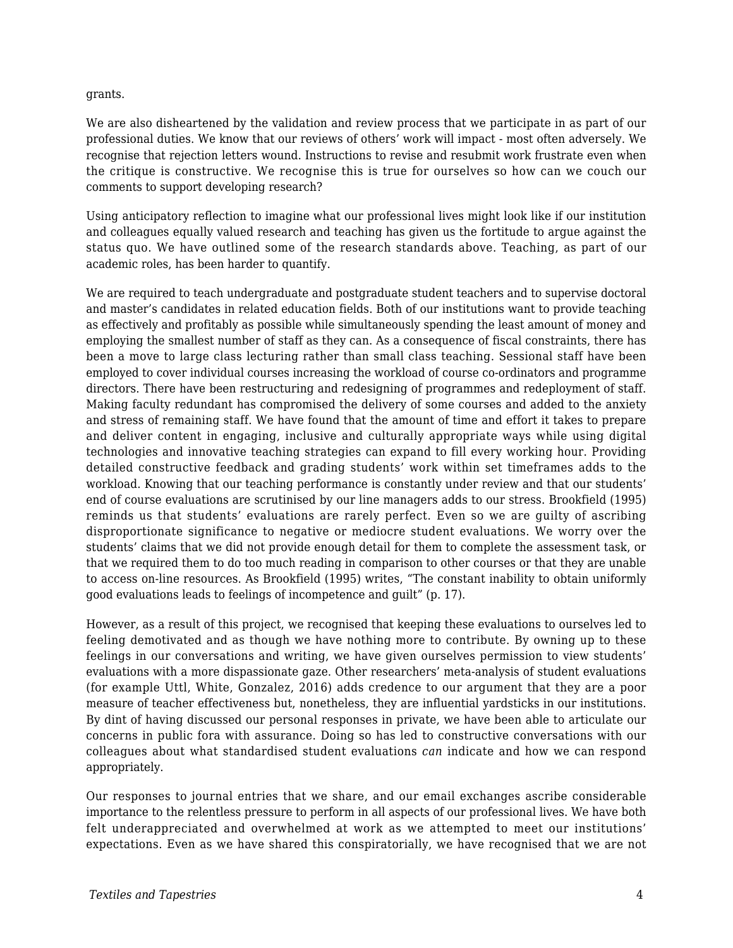#### grants.

We are also disheartened by the validation and review process that we participate in as part of our professional duties. We know that our reviews of others' work will impact - most often adversely. We recognise that rejection letters wound. Instructions to revise and resubmit work frustrate even when the critique is constructive. We recognise this is true for ourselves so how can we couch our comments to support developing research?

Using anticipatory reflection to imagine what our professional lives might look like if our institution and colleagues equally valued research and teaching has given us the fortitude to argue against the status quo. We have outlined some of the research standards above. Teaching, as part of our academic roles, has been harder to quantify.

We are required to teach undergraduate and postgraduate student teachers and to supervise doctoral and master's candidates in related education fields. Both of our institutions want to provide teaching as effectively and profitably as possible while simultaneously spending the least amount of money and employing the smallest number of staff as they can. As a consequence of fiscal constraints, there has been a move to large class lecturing rather than small class teaching. Sessional staff have been employed to cover individual courses increasing the workload of course co-ordinators and programme directors. There have been restructuring and redesigning of programmes and redeployment of staff. Making faculty redundant has compromised the delivery of some courses and added to the anxiety and stress of remaining staff. We have found that the amount of time and effort it takes to prepare and deliver content in engaging, inclusive and culturally appropriate ways while using digital technologies and innovative teaching strategies can expand to fill every working hour. Providing detailed constructive feedback and grading students' work within set timeframes adds to the workload. Knowing that our teaching performance is constantly under review and that our students' end of course evaluations are scrutinised by our line managers adds to our stress. Brookfield (1995) reminds us that students' evaluations are rarely perfect. Even so we are guilty of ascribing disproportionate significance to negative or mediocre student evaluations. We worry over the students' claims that we did not provide enough detail for them to complete the assessment task, or that we required them to do too much reading in comparison to other courses or that they are unable to access on-line resources. As Brookfield (1995) writes, "The constant inability to obtain uniformly good evaluations leads to feelings of incompetence and guilt" (p. 17).

However, as a result of this project, we recognised that keeping these evaluations to ourselves led to feeling demotivated and as though we have nothing more to contribute. By owning up to these feelings in our conversations and writing, we have given ourselves permission to view students' evaluations with a more dispassionate gaze. Other researchers' meta-analysis of student evaluations (for example Uttl, White, Gonzalez, 2016) adds credence to our argument that they are a poor measure of teacher effectiveness but, nonetheless, they are influential yardsticks in our institutions. By dint of having discussed our personal responses in private, we have been able to articulate our concerns in public fora with assurance. Doing so has led to constructive conversations with our colleagues about what standardised student evaluations *can* indicate and how we can respond appropriately.

Our responses to journal entries that we share, and our email exchanges ascribe considerable importance to the relentless pressure to perform in all aspects of our professional lives. We have both felt underappreciated and overwhelmed at work as we attempted to meet our institutions' expectations. Even as we have shared this conspiratorially, we have recognised that we are not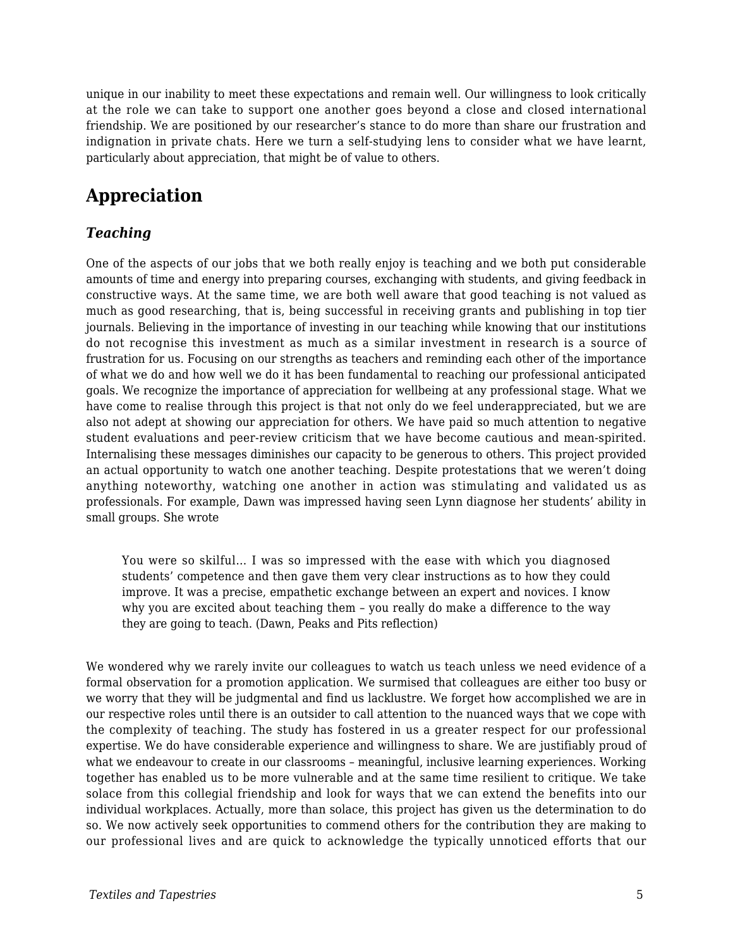unique in our inability to meet these expectations and remain well. Our willingness to look critically at the role we can take to support one another goes beyond a close and closed international friendship. We are positioned by our researcher's stance to do more than share our frustration and indignation in private chats. Here we turn a self-studying lens to consider what we have learnt, particularly about appreciation, that might be of value to others.

## **Appreciation**

### *Teaching*

One of the aspects of our jobs that we both really enjoy is teaching and we both put considerable amounts of time and energy into preparing courses, exchanging with students, and giving feedback in constructive ways. At the same time, we are both well aware that good teaching is not valued as much as good researching, that is, being successful in receiving grants and publishing in top tier journals. Believing in the importance of investing in our teaching while knowing that our institutions do not recognise this investment as much as a similar investment in research is a source of frustration for us. Focusing on our strengths as teachers and reminding each other of the importance of what we do and how well we do it has been fundamental to reaching our professional anticipated goals. We recognize the importance of appreciation for wellbeing at any professional stage. What we have come to realise through this project is that not only do we feel underappreciated, but we are also not adept at showing our appreciation for others. We have paid so much attention to negative student evaluations and peer-review criticism that we have become cautious and mean-spirited. Internalising these messages diminishes our capacity to be generous to others. This project provided an actual opportunity to watch one another teaching. Despite protestations that we weren't doing anything noteworthy, watching one another in action was stimulating and validated us as professionals. For example, Dawn was impressed having seen Lynn diagnose her students' ability in small groups. She wrote

You were so skilful… I was so impressed with the ease with which you diagnosed students' competence and then gave them very clear instructions as to how they could improve. It was a precise, empathetic exchange between an expert and novices. I know why you are excited about teaching them – you really do make a difference to the way they are going to teach. (Dawn, Peaks and Pits reflection)

We wondered why we rarely invite our colleagues to watch us teach unless we need evidence of a formal observation for a promotion application. We surmised that colleagues are either too busy or we worry that they will be judgmental and find us lacklustre. We forget how accomplished we are in our respective roles until there is an outsider to call attention to the nuanced ways that we cope with the complexity of teaching. The study has fostered in us a greater respect for our professional expertise. We do have considerable experience and willingness to share. We are justifiably proud of what we endeavour to create in our classrooms – meaningful, inclusive learning experiences. Working together has enabled us to be more vulnerable and at the same time resilient to critique. We take solace from this collegial friendship and look for ways that we can extend the benefits into our individual workplaces. Actually, more than solace, this project has given us the determination to do so. We now actively seek opportunities to commend others for the contribution they are making to our professional lives and are quick to acknowledge the typically unnoticed efforts that our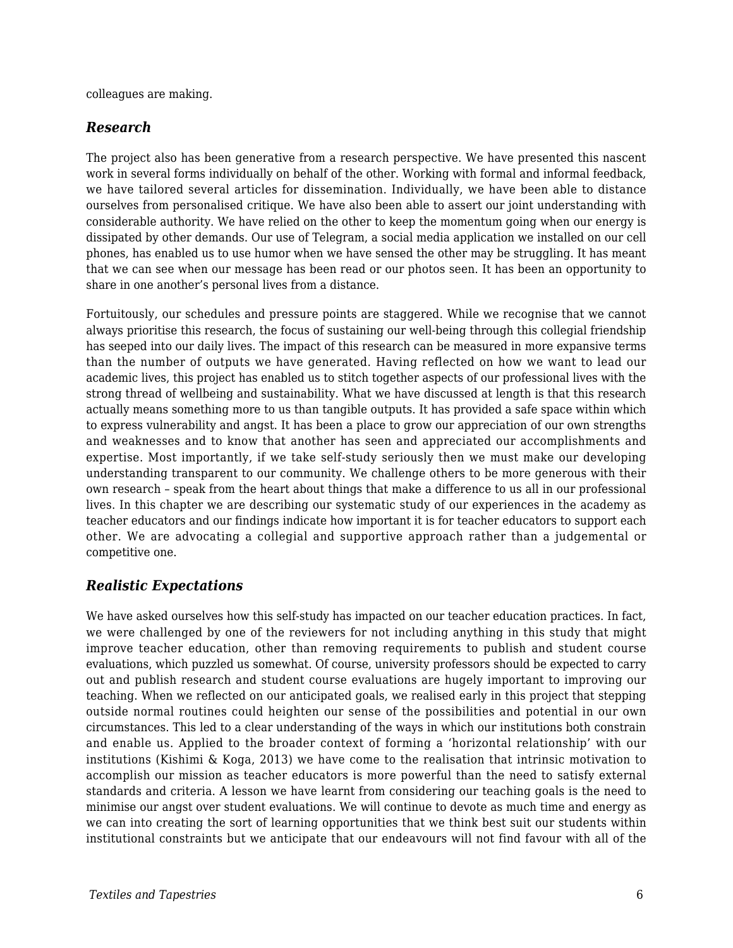colleagues are making.

### *Research*

The project also has been generative from a research perspective. We have presented this nascent work in several forms individually on behalf of the other. Working with formal and informal feedback, we have tailored several articles for dissemination. Individually, we have been able to distance ourselves from personalised critique. We have also been able to assert our joint understanding with considerable authority. We have relied on the other to keep the momentum going when our energy is dissipated by other demands. Our use of Telegram, a social media application we installed on our cell phones, has enabled us to use humor when we have sensed the other may be struggling. It has meant that we can see when our message has been read or our photos seen. It has been an opportunity to share in one another's personal lives from a distance.

Fortuitously, our schedules and pressure points are staggered. While we recognise that we cannot always prioritise this research, the focus of sustaining our well-being through this collegial friendship has seeped into our daily lives. The impact of this research can be measured in more expansive terms than the number of outputs we have generated. Having reflected on how we want to lead our academic lives, this project has enabled us to stitch together aspects of our professional lives with the strong thread of wellbeing and sustainability. What we have discussed at length is that this research actually means something more to us than tangible outputs. It has provided a safe space within which to express vulnerability and angst. It has been a place to grow our appreciation of our own strengths and weaknesses and to know that another has seen and appreciated our accomplishments and expertise. Most importantly, if we take self-study seriously then we must make our developing understanding transparent to our community. We challenge others to be more generous with their own research – speak from the heart about things that make a difference to us all in our professional lives. In this chapter we are describing our systematic study of our experiences in the academy as teacher educators and our findings indicate how important it is for teacher educators to support each other. We are advocating a collegial and supportive approach rather than a judgemental or competitive one.

### *Realistic Expectations*

We have asked ourselves how this self-study has impacted on our teacher education practices. In fact, we were challenged by one of the reviewers for not including anything in this study that might improve teacher education, other than removing requirements to publish and student course evaluations, which puzzled us somewhat. Of course, university professors should be expected to carry out and publish research and student course evaluations are hugely important to improving our teaching. When we reflected on our anticipated goals, we realised early in this project that stepping outside normal routines could heighten our sense of the possibilities and potential in our own circumstances. This led to a clear understanding of the ways in which our institutions both constrain and enable us. Applied to the broader context of forming a 'horizontal relationship' with our institutions (Kishimi & Koga, 2013) we have come to the realisation that intrinsic motivation to accomplish our mission as teacher educators is more powerful than the need to satisfy external standards and criteria. A lesson we have learnt from considering our teaching goals is the need to minimise our angst over student evaluations. We will continue to devote as much time and energy as we can into creating the sort of learning opportunities that we think best suit our students within institutional constraints but we anticipate that our endeavours will not find favour with all of the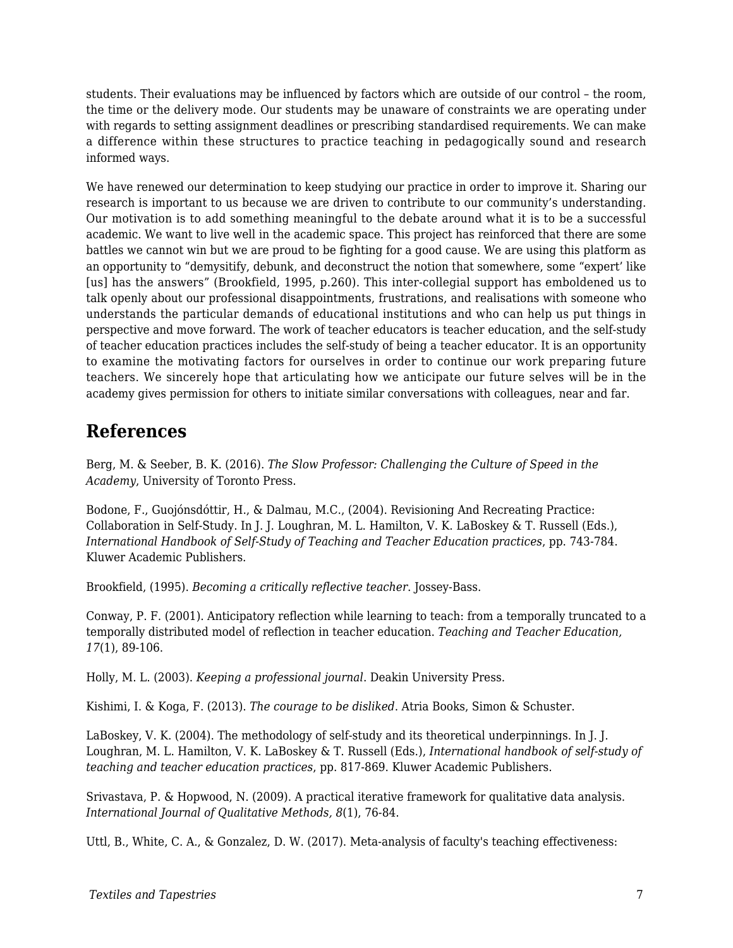students. Their evaluations may be influenced by factors which are outside of our control – the room, the time or the delivery mode. Our students may be unaware of constraints we are operating under with regards to setting assignment deadlines or prescribing standardised requirements. We can make a difference within these structures to practice teaching in pedagogically sound and research informed ways.

We have renewed our determination to keep studying our practice in order to improve it. Sharing our research is important to us because we are driven to contribute to our community's understanding. Our motivation is to add something meaningful to the debate around what it is to be a successful academic. We want to live well in the academic space. This project has reinforced that there are some battles we cannot win but we are proud to be fighting for a good cause. We are using this platform as an opportunity to "demysitify, debunk, and deconstruct the notion that somewhere, some "expert' like [us] has the answers" (Brookfield, 1995, p.260). This inter-collegial support has emboldened us to talk openly about our professional disappointments, frustrations, and realisations with someone who understands the particular demands of educational institutions and who can help us put things in perspective and move forward. The work of teacher educators is teacher education, and the self-study of teacher education practices includes the self-study of being a teacher educator. It is an opportunity to examine the motivating factors for ourselves in order to continue our work preparing future teachers. We sincerely hope that articulating how we anticipate our future selves will be in the academy gives permission for others to initiate similar conversations with colleagues, near and far.

## **References**

Berg, M. & Seeber, B. K. (2016). *The Slow Professor: Challenging the Culture of Speed in the Academy*, University of Toronto Press.

Bodone, F., Guojónsdóttir, H., & Dalmau, M.C., (2004). Revisioning And Recreating Practice: Collaboration in Self-Study. In J. J. Loughran, M. L. Hamilton, V. K. LaBoskey & T. Russell (Eds.), *International Handbook of Self-Study of Teaching and Teacher Education practices*, pp. 743-784. Kluwer Academic Publishers.

Brookfield, (1995). *Becoming a critically reflective teacher*. Jossey-Bass.

Conway, P. F. (2001). Anticipatory reflection while learning to teach: from a temporally truncated to a temporally distributed model of reflection in teacher education. *Teaching and Teacher Education, 17*(1), 89-106.

Holly, M. L. (2003). *Keeping a professional journal*. Deakin University Press.

Kishimi, I. & Koga, F. (2013). *The courage to be disliked*. Atria Books, Simon & Schuster.

LaBoskey, V. K. (2004). The methodology of self-study and its theoretical underpinnings. In J. J. Loughran, M. L. Hamilton, V. K. LaBoskey & T. Russell (Eds.), *International handbook of self-study of teaching and teacher education practices*, pp. 817-869. Kluwer Academic Publishers.

Srivastava, P. & Hopwood, N. (2009). A practical iterative framework for qualitative data analysis. *International Journal of Qualitative Methods, 8*(1), 76-84.

Uttl, B., White, C. A., & Gonzalez, D. W. (2017). Meta-analysis of faculty's teaching effectiveness: